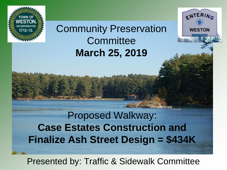

## Community Preservation **Committee March 25, 2019**

ENTERING

**WESTON** 

Proposed Walkway: **Case Estates Construction and Finalize Ash Street Design = \$434K**

Presented by: Traffic & Sidewalk Committee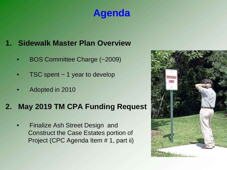## **Agenda**

#### **1. Sidewalk Master Plan Overview**

- BOS Committee Charge (~2009)
- TSC spent  $\sim$  1 year to develop
- Adopted in 2010

#### **2. May 2019 TM CPA Funding Request**

• Finalize Ash Street Design and Construct the Case Estates portion of Project (CPC Agenda Item # 1, part ii)

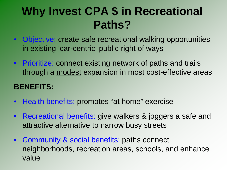# **Why Invest CPA \$ in Recreational Paths?**

- Objective: create safe recreational walking opportunities in existing 'car-centric' public right of ways
- Prioritize: connect existing network of paths and trails through a modest expansion in most cost-effective areas

#### **BENEFITS:**

- Health benefits: promotes "at home" exercise
- Recreational benefits: give walkers & joggers a safe and attractive alternative to narrow busy streets
- Community & social benefits: paths connect neighborhoods, recreation areas, schools, and enhance value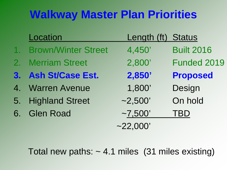# **Walkway Master Plan Priorities**

| Location               | Length (ft) Status |                   |
|------------------------|--------------------|-------------------|
| 1. Brown/Winter Street | 4,450'             | <b>Built 2016</b> |
| 2. Merriam Street      | 2,800'             | Funded 2019       |
| 3. Ash St/Case Est.    | 2,850'             | <b>Proposed</b>   |
| 4. Warren Avenue       | 1,800'             | Design            |
| 5. Highland Street     | $-2,500'$          | On hold           |
| 6. Glen Road           | $-7,500'$          | <b>TBD</b>        |
|                        | $-22,000'$         |                   |

Total new paths:  $\sim$  4.1 miles (31 miles existing)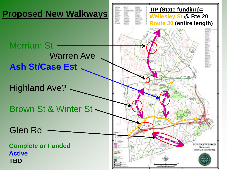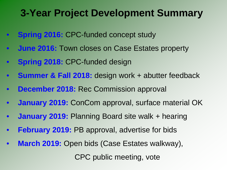## **3-Year Project Development Summary**

- **Spring 2016: CPC-funded concept study**
- **June 2016:** Town closes on Case Estates property
- **Spring 2018: CPC-funded design**
- **Summer & Fall 2018:** design work + abutter feedback
- **December 2018:** Rec Commission approval
- **January 2019:** ConCom approval, surface material OK
- **January 2019:** Planning Board site walk + hearing
- **February 2019: PB approval, advertise for bids**
- **March 2019:** Open bids (Case Estates walkway),

CPC public meeting, vote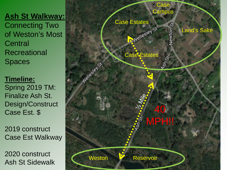Connecting Two of Weston's Most **Central Recreational** Spaces

#### **Timeline:**  Spring 2019 TM: Finalize Ash St. Design/Construct Case Est. \$

2019 construct Case Est Walkway

2020 construct Ash St Sidewalk

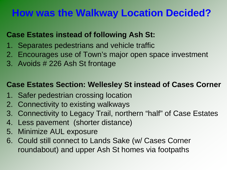## **How was the Walkway Location Decided?**

#### **Case Estates instead of following Ash St:**

- 1. Separates pedestrians and vehicle traffic
- 2. Encourages use of Town's major open space investment
- 3. Avoids # 226 Ash St frontage

#### **Case Estates Section: Wellesley St instead of Cases Corner**

- 1. Safer pedestrian crossing location
- 2. Connectivity to existing walkways
- 3. Connectivity to Legacy Trail, northern "half" of Case Estates
- 4. Less pavement (shorter distance)
- 5. Minimize AUL exposure
- 6. Could still connect to Lands Sake (w/ Cases Corner roundabout) and upper Ash St homes via footpaths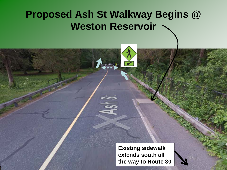## **Proposed Ash St Walkway Begins @ Weston Reservoir**

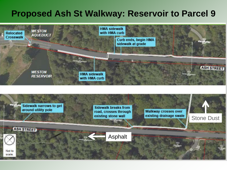#### **Proposed Ash St Walkway: Reservoir to Parcel 9**

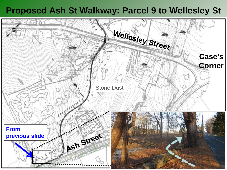#### **Proposed Ash St Walkway: Parcel 9 to Wellesley St**

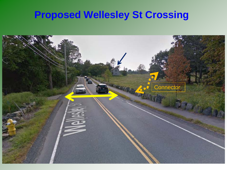## **Proposed Wellesley St Crossing**

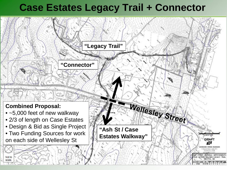## **Case Estates Legacy Trail + Connector**

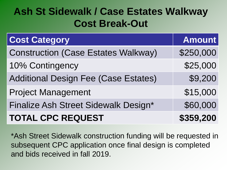## **Ash St Sidewalk / Case Estates Walkway Cost Break-Out**

| <b>Cost Category</b>                        | <b>Amount</b> |
|---------------------------------------------|---------------|
| <b>Construction (Case Estates Walkway)</b>  | \$250,000     |
| 10% Contingency                             | \$25,000      |
| <b>Additional Design Fee (Case Estates)</b> | \$9,200       |
| <b>Project Management</b>                   | \$15,000      |
| Finalize Ash Street Sidewalk Design*        | \$60,000      |
| <b>TOTAL CPC REQUEST</b>                    | \$359,200     |

\*Ash Street Sidewalk construction funding will be requested in subsequent CPC application once final design is completed and bids received in fall 2019.